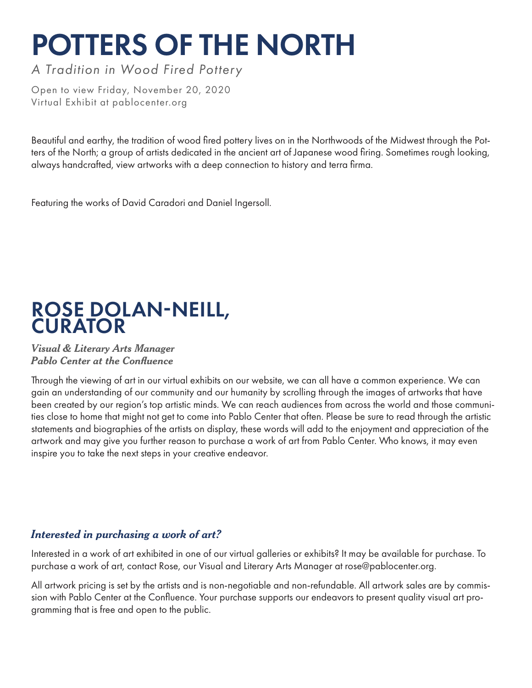# POTTERS OF THE NORTH

*A Tradition in Wood Fired Pottery*

Open to view Friday, November 20, 2020 Virtual Exhibit at pablocenter.org

Beautiful and earthy, the tradition of wood fired pottery lives on in the Northwoods of the Midwest through the Potters of the North; a group of artists dedicated in the ancient art of Japanese wood firing. Sometimes rough looking, always handcrafted, view artworks with a deep connection to history and terra firma.

Featuring the works of David Caradori and Daniel Ingersoll.

### ROSE DOLAN-NEILL, **CURATOR**

#### *Visual & Literary Arts Manager Pablo Center at the Confluence*

Through the viewing of art in our virtual exhibits on our website, we can all have a common experience. We can gain an understanding of our community and our humanity by scrolling through the images of artworks that have been created by our region's top artistic minds. We can reach audiences from across the world and those communities close to home that might not get to come into Pablo Center that often. Please be sure to read through the artistic statements and biographies of the artists on display, these words will add to the enjoyment and appreciation of the artwork and may give you further reason to purchase a work of art from Pablo Center. Who knows, it may even inspire you to take the next steps in your creative endeavor.

#### *Interested in purchasing a work of art?*

Interested in a work of art exhibited in one of our virtual galleries or exhibits? It may be available for purchase. To purchase a work of art, contact Rose, our Visual and Literary Arts Manager at rose@pablocenter.org.

All artwork pricing is set by the artists and is non-negotiable and non-refundable. All artwork sales are by commission with Pablo Center at the Confluence. Your purchase supports our endeavors to present quality visual art programming that is free and open to the public.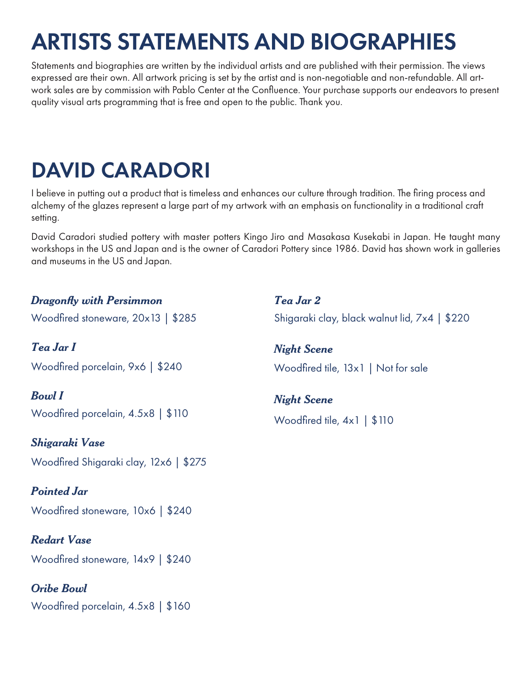## ARTISTS STATEMENTS AND BIOGRAPHIES

Statements and biographies are written by the individual artists and are published with their permission. The views expressed are their own. All artwork pricing is set by the artist and is non-negotiable and non-refundable. All artwork sales are by commission with Pablo Center at the Confluence. Your purchase supports our endeavors to present quality visual arts programming that is free and open to the public. Thank you.

### DAVID CARADORI

I believe in putting out a product that is timeless and enhances our culture through tradition. The firing process and alchemy of the glazes represent a large part of my artwork with an emphasis on functionality in a traditional craft setting.

David Caradori studied pottery with master potters Kingo Jiro and Masakasa Kusekabi in Japan. He taught many workshops in the US and Japan and is the owner of Caradori Pottery since 1986. David has shown work in galleries and museums in the US and Japan.

 $$220$ 

| <b>Dragonfly with Persimmon</b>                              | Tea Jar 2                             |
|--------------------------------------------------------------|---------------------------------------|
| Woodfired stoneware, $20 \times 13$   \$285                  | Shigaraki clay, black walnut lid, 7x4 |
| Tea Jar I                                                    | <b>Night Scene</b>                    |
| Woodfired porcelain, 9x6   \$240                             | Woodfired tile, 13x1   Not for sale   |
| <b>Bowl</b> I<br>Woodfired porcelain, $4.5 \times 8$   \$110 | <b>Night Scene</b>                    |
|                                                              | Woodfired tile, $4 \times 1$   \$110  |
| Shigaraki Vase                                               |                                       |
| Woodfired Shigaraki clay, 12x6   \$275                       |                                       |
| <b>Pointed Jar</b>                                           |                                       |
| Woodfired stoneware, 10x6   \$240                            |                                       |
| <b>Redart Vase</b>                                           |                                       |
| Woodfired stoneware, 14x9   \$240                            |                                       |
| <b>Oribe Bowl</b>                                            |                                       |
| Woodfired porcelain, $4.5 \times 8$   \$160                  |                                       |
|                                                              |                                       |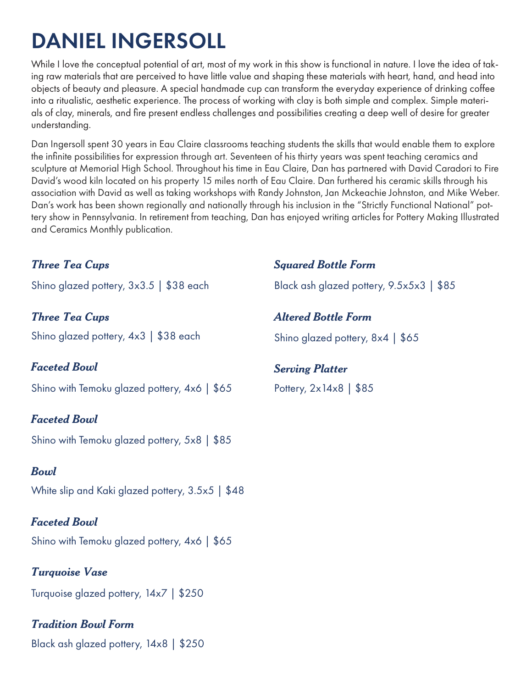### DANIEL INGERSOLL

While I love the conceptual potential of art, most of my work in this show is functional in nature. I love the idea of taking raw materials that are perceived to have little value and shaping these materials with heart, hand, and head into objects of beauty and pleasure. A special handmade cup can transform the everyday experience of drinking coffee into a ritualistic, aesthetic experience. The process of working with clay is both simple and complex. Simple materials of clay, minerals, and fire present endless challenges and possibilities creating a deep well of desire for greater understanding.

Dan Ingersoll spent 30 years in Eau Claire classrooms teaching students the skills that would enable them to explore the infinite possibilities for expression through art. Seventeen of his thirty years was spent teaching ceramics and sculpture at Memorial High School. Throughout his time in Eau Claire, Dan has partnered with David Caradori to Fire David's wood kiln located on his property 15 miles north of Eau Claire. Dan furthered his ceramic skills through his association with David as well as taking workshops with Randy Johnston, Jan Mckeachie Johnston, and Mike Weber. Dan's work has been shown regionally and nationally through his inclusion in the "Strictly Functional National" pottery show in Pennsylvania. In retirement from teaching, Dan has enjoyed writing articles for Pottery Making Illustrated and Ceramics Monthly publication.

#### *Three Tea Cups*

Shino glazed pottery, 3x3.5 | \$38 each

*Three Tea Cups* Shino glazed pottery,  $4\times3$  | \$38 each

*Faceted Bowl*

Shino with Temoku glazed pottery, 4x6 | \$65

#### *Faceted Bowl*

Shino with Temoku glazed pottery, 5x8 | \$85

#### *Bowl*

White slip and Kaki glazed pottery, 3.5x5 | \$48

#### *Faceted Bowl*

Shino with Temoku glazed pottery, 4x6 | \$65

*Turquoise Vase* Turquoise glazed pottery, 14x7 | \$250

*Tradition Bowl Form* Black ash glazed pottery, 14x8 | \$250

#### *Squared Bottle Form*

Black ash glazed pottery, 9.5x5x3 | \$85

*Altered Bottle Form*

Shino glazed pottery, 8x4 | \$65

#### *Serving Platter*

Pottery, 2x14x8 | \$85